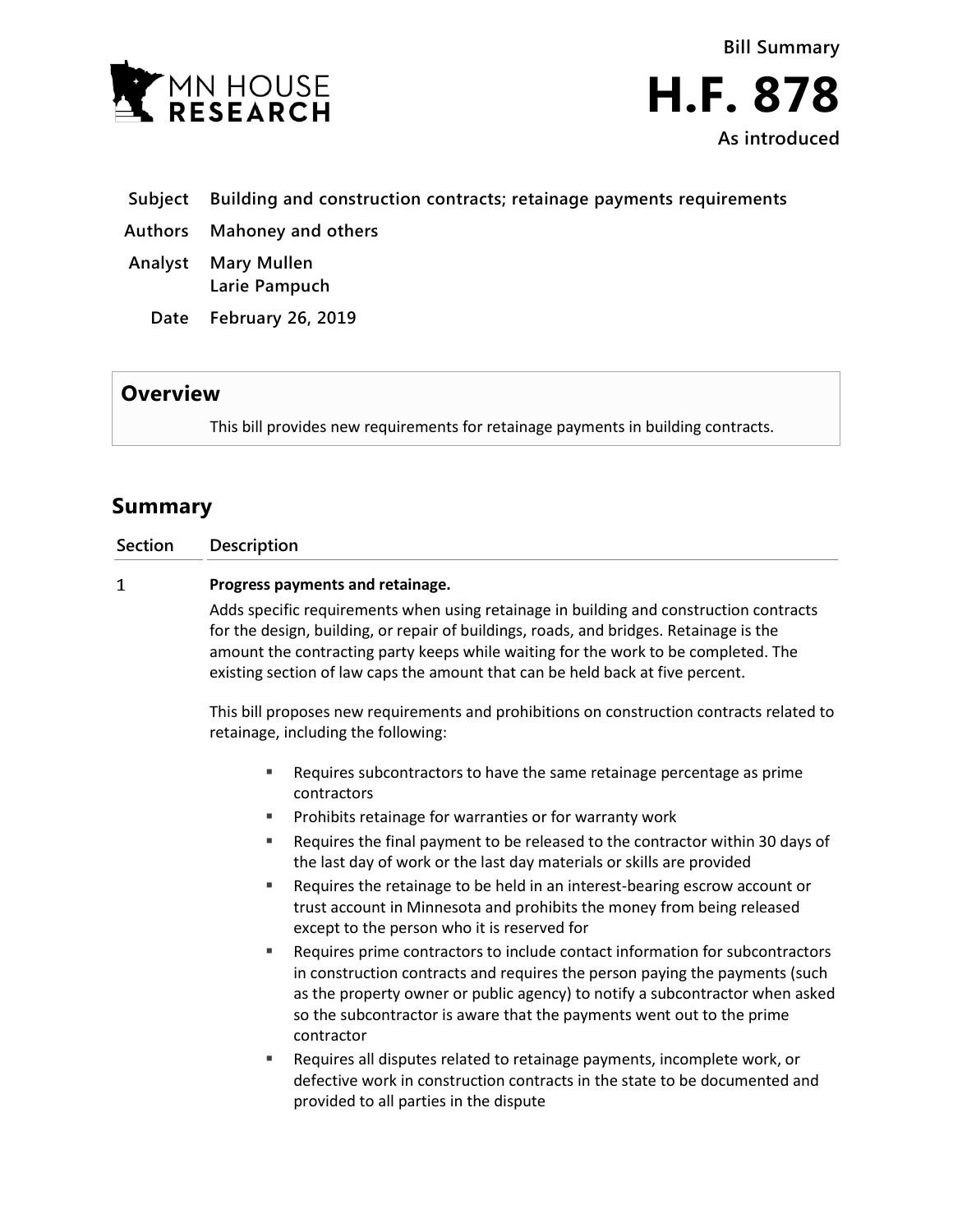

- **Subject Building and construction contracts; retainage payments requirements**
- **Authors Mahoney and others**
- **Analyst Mary Mullen Larie Pampuch**
	- **Date February 26, 2019**

## **Overview**

This bill provides new requirements for retainage payments in building contracts.

# **Summary**

| <b>Section</b> | Description |
|----------------|-------------|
|                |             |

#### $\mathbf{1}$ **Progress payments and retainage.**

Adds specific requirements when using retainage in building and construction contracts for the design, building, or repair of buildings, roads, and bridges. Retainage is the amount the contracting party keeps while waiting for the work to be completed. The existing section of law caps the amount that can be held back at five percent.

This bill proposes new requirements and prohibitions on construction contracts related to retainage, including the following:

- Requires subcontractors to have the same retainage percentage as prime contractors
- **Prohibits retainage for warranties or for warranty work**
- Requires the final payment to be released to the contractor within 30 days of the last day of work or the last day materials or skills are provided
- Requires the retainage to be held in an interest-bearing escrow account or trust account in Minnesota and prohibits the money from being released except to the person who it is reserved for
- Requires prime contractors to include contact information for subcontractors in construction contracts and requires the person paying the payments (such as the property owner or public agency) to notify a subcontractor when asked so the subcontractor is aware that the payments went out to the prime contractor
- Requires all disputes related to retainage payments, incomplete work, or defective work in construction contracts in the state to be documented and provided to all parties in the dispute